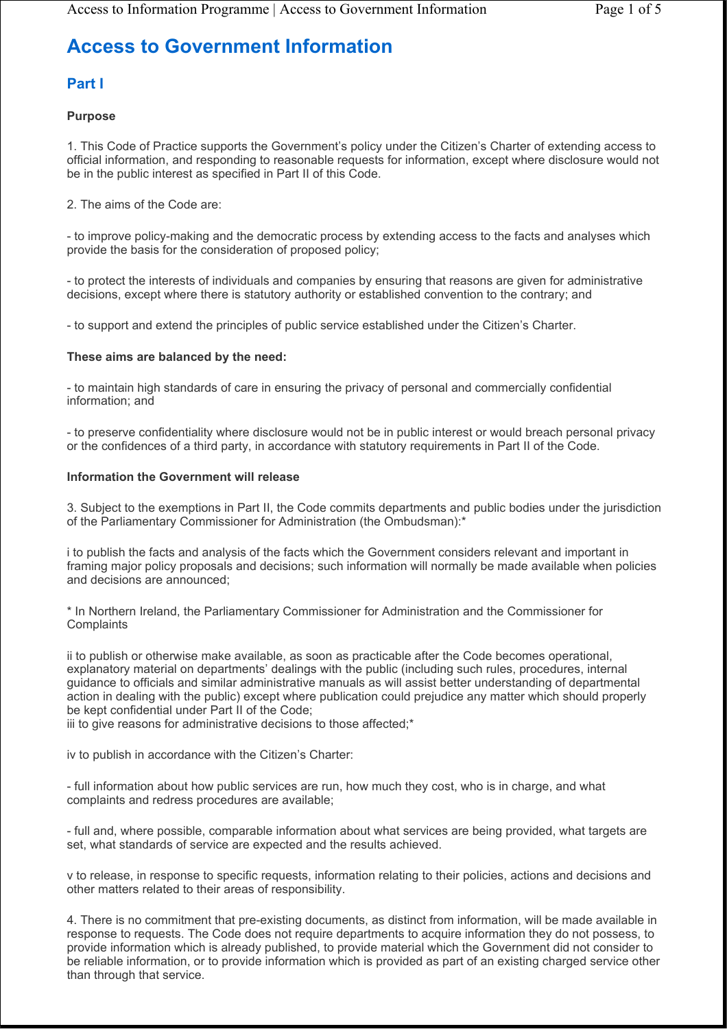# **Access to Government Information**

# **Part I**

## **Purpose**

1. This Code of Practice supports the Government's policy under the Citizen's Charter of extending access to official information, and responding to reasonable requests for information, except where disclosure would not be in the public interest as specified in Part II of this Code.

## 2. The aims of the Code are:

- to improve policy-making and the democratic process by extending access to the facts and analyses which provide the basis for the consideration of proposed policy;

- to protect the interests of individuals and companies by ensuring that reasons are given for administrative decisions, except where there is statutory authority or established convention to the contrary; and

- to support and extend the principles of public service established under the Citizen's Charter.

## **These aims are balanced by the need:**

- to maintain high standards of care in ensuring the privacy of personal and commercially confidential information; and

- to preserve confidentiality where disclosure would not be in public interest or would breach personal privacy or the confidences of a third party, in accordance with statutory requirements in Part II of the Code.

## **Information the Government will release**

3. Subject to the exemptions in Part II, the Code commits departments and public bodies under the jurisdiction of the Parliamentary Commissioner for Administration (the Ombudsman):\*

i to publish the facts and analysis of the facts which the Government considers relevant and important in framing major policy proposals and decisions; such information will normally be made available when policies and decisions are announced;

\* In Northern Ireland, the Parliamentary Commissioner for Administration and the Commissioner for **Complaints** 

ii to publish or otherwise make available, as soon as practicable after the Code becomes operational, explanatory material on departments' dealings with the public (including such rules, procedures, internal guidance to officials and similar administrative manuals as will assist better understanding of departmental action in dealing with the public) except where publication could prejudice any matter which should properly be kept confidential under Part II of the Code;

iii to give reasons for administrative decisions to those affected;\*

iv to publish in accordance with the Citizen's Charter:

- full information about how public services are run, how much they cost, who is in charge, and what complaints and redress procedures are available;

- full and, where possible, comparable information about what services are being provided, what targets are set, what standards of service are expected and the results achieved.

v to release, in response to specific requests, information relating to their policies, actions and decisions and other matters related to their areas of responsibility.

4. There is no commitment that pre-existing documents, as distinct from information, will be made available in response to requests. The Code does not require departments to acquire information they do not possess, to provide information which is already published, to provide material which the Government did not consider to be reliable information, or to provide information which is provided as part of an existing charged service other than through that service.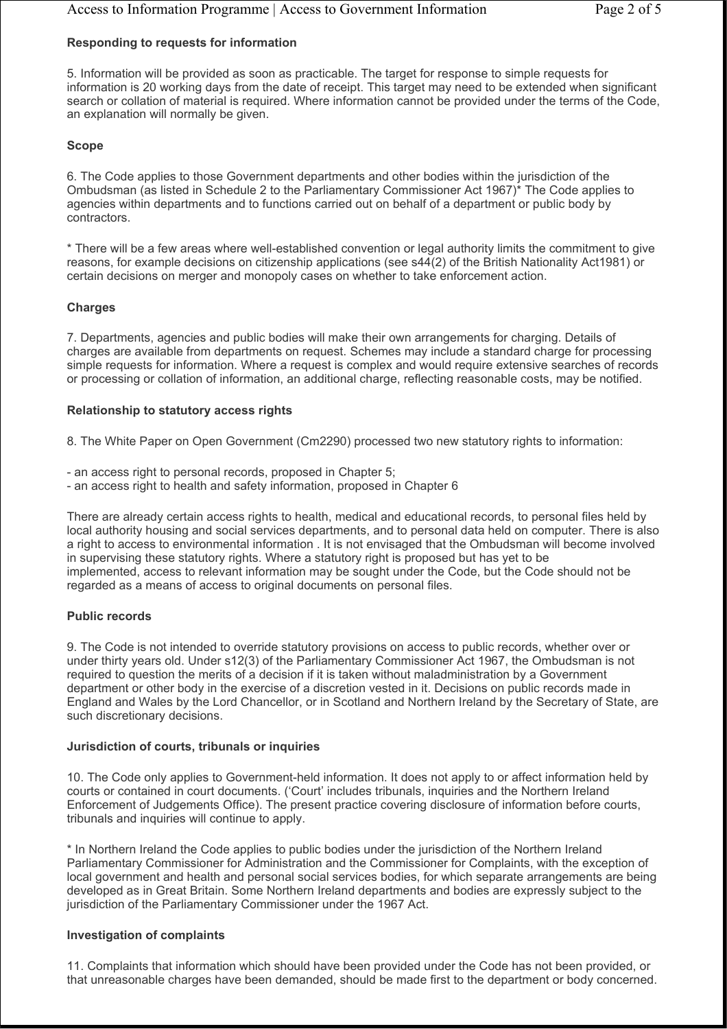## **Responding to requests for information**

5. Information will be provided as soon as practicable. The target for response to simple requests for information is 20 working days from the date of receipt. This target may need to be extended when significant search or collation of material is required. Where information cannot be provided under the terms of the Code, an explanation will normally be given.

#### **Scope**

6. The Code applies to those Government departments and other bodies within the jurisdiction of the Ombudsman (as listed in Schedule 2 to the Parliamentary Commissioner Act 1967)\* The Code applies to agencies within departments and to functions carried out on behalf of a department or public body by contractors.

\* There will be a few areas where well-established convention or legal authority limits the commitment to give reasons, for example decisions on citizenship applications (see s44(2) of the British Nationality Act1981) or certain decisions on merger and monopoly cases on whether to take enforcement action.

## **Charges**

7. Departments, agencies and public bodies will make their own arrangements for charging. Details of charges are available from departments on request. Schemes may include a standard charge for processing simple requests for information. Where a request is complex and would require extensive searches of records or processing or collation of information, an additional charge, reflecting reasonable costs, may be notified.

#### **Relationship to statutory access rights**

8. The White Paper on Open Government (Cm2290) processed two new statutory rights to information:

- an access right to personal records, proposed in Chapter 5;
- an access right to health and safety information, proposed in Chapter 6

There are already certain access rights to health, medical and educational records, to personal files held by local authority housing and social services departments, and to personal data held on computer. There is also a right to access to environmental information . It is not envisaged that the Ombudsman will become involved in supervising these statutory rights. Where a statutory right is proposed but has yet to be implemented, access to relevant information may be sought under the Code, but the Code should not be regarded as a means of access to original documents on personal files.

#### **Public records**

9. The Code is not intended to override statutory provisions on access to public records, whether over or under thirty years old. Under s12(3) of the Parliamentary Commissioner Act 1967, the Ombudsman is not required to question the merits of a decision if it is taken without maladministration by a Government department or other body in the exercise of a discretion vested in it. Decisions on public records made in England and Wales by the Lord Chancellor, or in Scotland and Northern Ireland by the Secretary of State, are such discretionary decisions.

#### **Jurisdiction of courts, tribunals or inquiries**

10. The Code only applies to Government-held information. It does not apply to or affect information held by courts or contained in court documents. ('Court' includes tribunals, inquiries and the Northern Ireland Enforcement of Judgements Office). The present practice covering disclosure of information before courts, tribunals and inquiries will continue to apply.

\* In Northern Ireland the Code applies to public bodies under the jurisdiction of the Northern Ireland Parliamentary Commissioner for Administration and the Commissioner for Complaints, with the exception of local government and health and personal social services bodies, for which separate arrangements are being developed as in Great Britain. Some Northern Ireland departments and bodies are expressly subject to the jurisdiction of the Parliamentary Commissioner under the 1967 Act.

#### **Investigation of complaints**

11. Complaints that information which should have been provided under the Code has not been provided, or that unreasonable charges have been demanded, should be made first to the department or body concerned.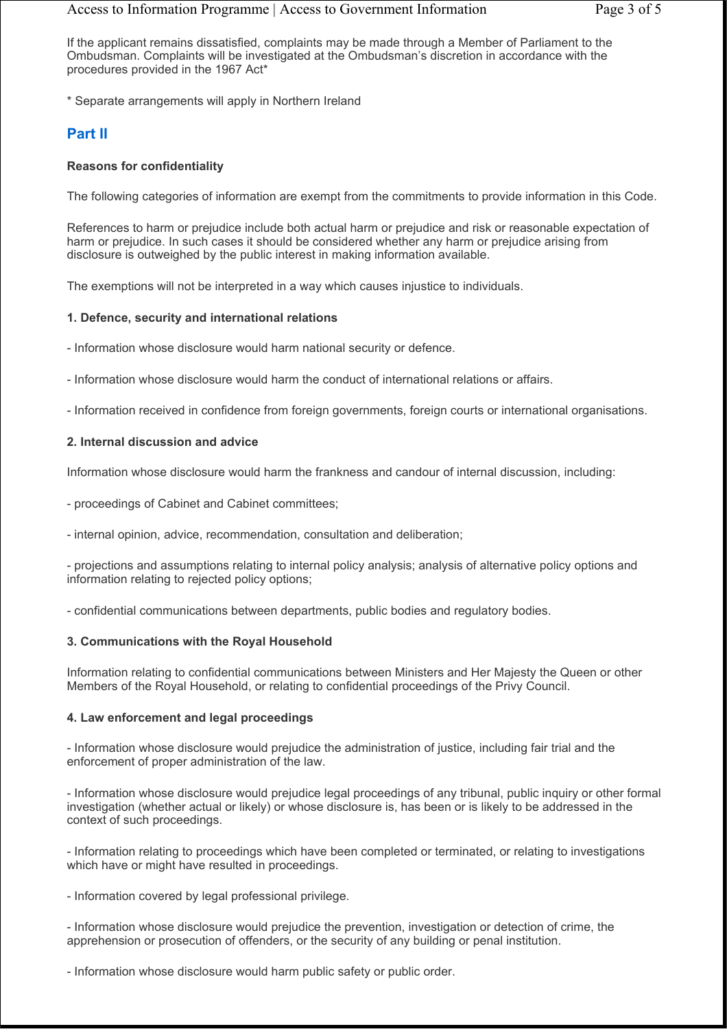## Access to Information Programme | Access to Government Information Page 3 of 5

If the applicant remains dissatisfied, complaints may be made through a Member of Parliament to the Ombudsman. Complaints will be investigated at the Ombudsman's discretion in accordance with the procedures provided in the 1967 Act\*

\* Separate arrangements will apply in Northern Ireland

# **Part II**

## **Reasons for confidentiality**

The following categories of information are exempt from the commitments to provide information in this Code.

References to harm or prejudice include both actual harm or prejudice and risk or reasonable expectation of harm or prejudice. In such cases it should be considered whether any harm or prejudice arising from disclosure is outweighed by the public interest in making information available.

The exemptions will not be interpreted in a way which causes injustice to individuals.

## **1. Defence, security and international relations**

- Information whose disclosure would harm national security or defence.

- Information whose disclosure would harm the conduct of international relations or affairs.

- Information received in confidence from foreign governments, foreign courts or international organisations.

## **2. Internal discussion and advice**

Information whose disclosure would harm the frankness and candour of internal discussion, including:

- proceedings of Cabinet and Cabinet committees;

- internal opinion, advice, recommendation, consultation and deliberation;

- projections and assumptions relating to internal policy analysis; analysis of alternative policy options and information relating to rejected policy options;

- confidential communications between departments, public bodies and regulatory bodies.

## **3. Communications with the Royal Household**

Information relating to confidential communications between Ministers and Her Majesty the Queen or other Members of the Royal Household, or relating to confidential proceedings of the Privy Council.

## **4. Law enforcement and legal proceedings**

- Information whose disclosure would prejudice the administration of justice, including fair trial and the enforcement of proper administration of the law.

- Information whose disclosure would prejudice legal proceedings of any tribunal, public inquiry or other formal investigation (whether actual or likely) or whose disclosure is, has been or is likely to be addressed in the context of such proceedings.

- Information relating to proceedings which have been completed or terminated, or relating to investigations which have or might have resulted in proceedings.

- Information covered by legal professional privilege.

- Information whose disclosure would prejudice the prevention, investigation or detection of crime, the apprehension or prosecution of offenders, or the security of any building or penal institution.

- Information whose disclosure would harm public safety or public order.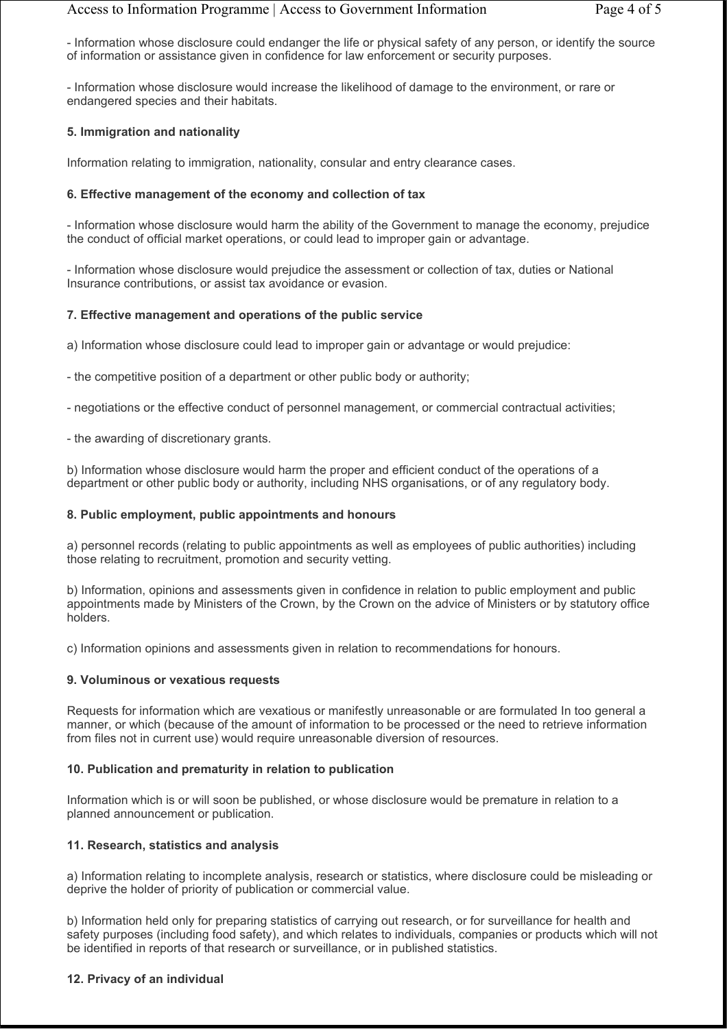- Information whose disclosure could endanger the life or physical safety of any person, or identify the source of information or assistance given in confidence for law enforcement or security purposes.

- Information whose disclosure would increase the likelihood of damage to the environment, or rare or endangered species and their habitats.

## **5. Immigration and nationality**

Information relating to immigration, nationality, consular and entry clearance cases.

#### **6. Effective management of the economy and collection of tax**

- Information whose disclosure would harm the ability of the Government to manage the economy, prejudice the conduct of official market operations, or could lead to improper gain or advantage.

- Information whose disclosure would prejudice the assessment or collection of tax, duties or National Insurance contributions, or assist tax avoidance or evasion.

## **7. Effective management and operations of the public service**

a) Information whose disclosure could lead to improper gain or advantage or would prejudice:

- the competitive position of a department or other public body or authority;

- negotiations or the effective conduct of personnel management, or commercial contractual activities;

- the awarding of discretionary grants.

b) Information whose disclosure would harm the proper and efficient conduct of the operations of a department or other public body or authority, including NHS organisations, or of any regulatory body.

#### **8. Public employment, public appointments and honours**

a) personnel records (relating to public appointments as well as employees of public authorities) including those relating to recruitment, promotion and security vetting.

b) Information, opinions and assessments given in confidence in relation to public employment and public appointments made by Ministers of the Crown, by the Crown on the advice of Ministers or by statutory office holders.

c) Information opinions and assessments given in relation to recommendations for honours.

#### **9. Voluminous or vexatious requests**

Requests for information which are vexatious or manifestly unreasonable or are formulated In too general a manner, or which (because of the amount of information to be processed or the need to retrieve information from files not in current use) would require unreasonable diversion of resources.

## **10. Publication and prematurity in relation to publication**

Information which is or will soon be published, or whose disclosure would be premature in relation to a planned announcement or publication.

#### **11. Research, statistics and analysis**

a) Information relating to incomplete analysis, research or statistics, where disclosure could be misleading or deprive the holder of priority of publication or commercial value.

b) Information held only for preparing statistics of carrying out research, or for surveillance for health and safety purposes (including food safety), and which relates to individuals, companies or products which will not be identified in reports of that research or surveillance, or in published statistics.

#### **12. Privacy of an individual**